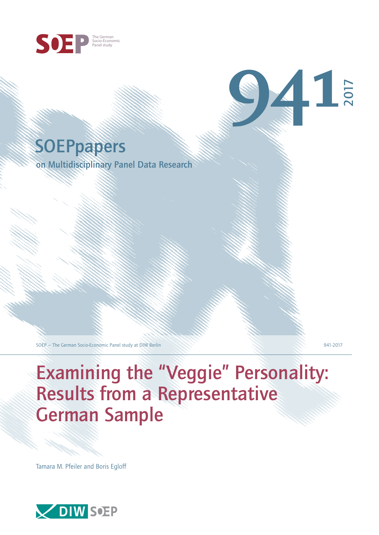

# **SOEPpapers**

on Multidisciplinary Panel Data Research

SOEP — The German Socio-Economic Panel study at DIW Berlin 941-2017

2017

**941**

Examining the "Veggie" Personality: Results from a Representative German Sample

Tamara M. Pfeiler and Boris Egloff

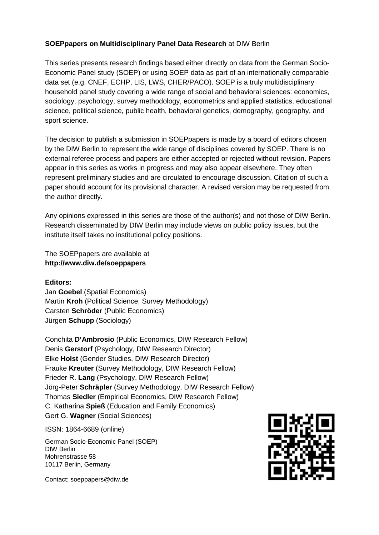## **SOEPpapers on Multidisciplinary Panel Data Research** at DIW Berlin

This series presents research findings based either directly on data from the German Socio-Economic Panel study (SOEP) or using SOEP data as part of an internationally comparable data set (e.g. CNEF, ECHP, LIS, LWS, CHER/PACO). SOEP is a truly multidisciplinary household panel study covering a wide range of social and behavioral sciences: economics, sociology, psychology, survey methodology, econometrics and applied statistics, educational science, political science, public health, behavioral genetics, demography, geography, and sport science.

The decision to publish a submission in SOEPpapers is made by a board of editors chosen by the DIW Berlin to represent the wide range of disciplines covered by SOEP. There is no external referee process and papers are either accepted or rejected without revision. Papers appear in this series as works in progress and may also appear elsewhere. They often represent preliminary studies and are circulated to encourage discussion. Citation of such a paper should account for its provisional character. A revised version may be requested from the author directly.

Any opinions expressed in this series are those of the author(s) and not those of DIW Berlin. Research disseminated by DIW Berlin may include views on public policy issues, but the institute itself takes no institutional policy positions.

The SOEPpapers are available at **http://www.diw.de/soeppapers**

#### **Editors:**

Jan **Goebel** (Spatial Economics) Martin **Kroh** (Political Science, Survey Methodology) Carsten **Schröder** (Public Economics) Jürgen **Schupp** (Sociology)

Conchita **D'Ambrosio** (Public Economics, DIW Research Fellow) Denis **Gerstorf** (Psychology, DIW Research Director) Elke **Holst** (Gender Studies, DIW Research Director) Frauke **Kreuter** (Survey Methodology, DIW Research Fellow) Frieder R. **Lang** (Psychology, DIW Research Fellow) Jörg-Peter **Schräpler** (Survey Methodology, DIW Research Fellow) Thomas **Siedler** (Empirical Economics, DIW Research Fellow) C. Katharina **Spieß** (Education and Family Economics) Gert G. **Wagner** (Social Sciences)

ISSN: 1864-6689 (online)

German Socio-Economic Panel (SOEP) DIW Berlin Mohrenstrasse 58 10117 Berlin, Germany

Contact: soeppapers@diw.de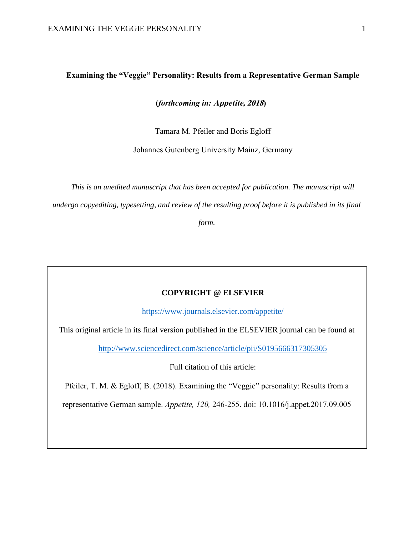#### **Examining the "Veggie" Personality: Results from a Representative German Sample**

#### **(***forthcoming in:* **Appetite, 2018)**

Tamara M. Pfeiler and Boris Egloff

Johannes Gutenberg University Mainz, Germany

*This is an unedited manuscript that has been accepted for publication. The manuscript will undergo copyediting, typesetting, and review of the resulting proof before it is published in its final* 

*form.* 

#### **COPYRIGHT @ ELSEVIER**

<https://www.journals.elsevier.com/appetite/>

This original article in its final version published in the ELSEVIER journal can be found at

<http://www.sciencedirect.com/science/article/pii/S0195666317305305>

Full citation of this article:

Pfeiler, T. M. & Egloff, B. (2018). Examining the "Veggie" personality: Results from a

representative German sample. *Appetite, 120,* 246-255. doi: [10.1016/j.appet.2017.09.005](https://doi.org/10.1016/j.appet.2017.09.005)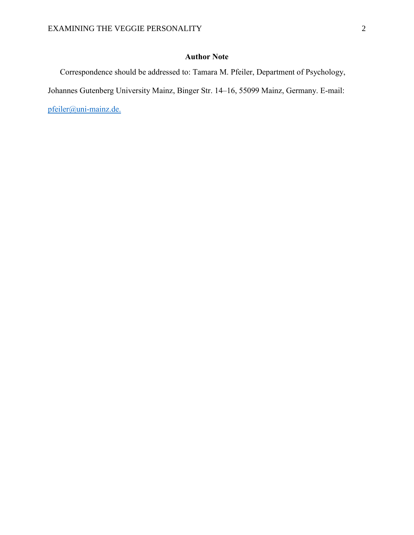# **Author Note**

Correspondence should be addressed to: Tamara M. Pfeiler, Department of Psychology,

Johannes Gutenberg University Mainz, Binger Str. 14–16, 55099 Mainz, Germany. E-mail:

[pfeiler@uni-mainz.de.](mailto:pfeiler@uni-mainz.de)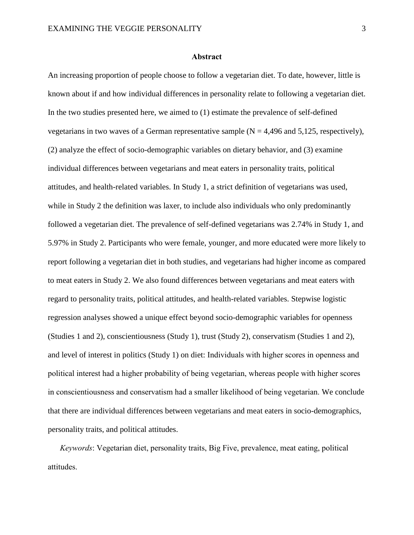#### **Abstract**

An increasing proportion of people choose to follow a vegetarian diet. To date, however, little is known about if and how individual differences in personality relate to following a vegetarian diet. In the two studies presented here, we aimed to (1) estimate the prevalence of self-defined vegetarians in two waves of a German representative sample  $(N = 4,496 \text{ and } 5,125,$  respectively), (2) analyze the effect of socio-demographic variables on dietary behavior, and (3) examine individual differences between vegetarians and meat eaters in personality traits, political attitudes, and health-related variables. In Study 1, a strict definition of vegetarians was used, while in Study 2 the definition was laxer, to include also individuals who only predominantly followed a vegetarian diet. The prevalence of self-defined vegetarians was 2.74% in Study 1, and 5.97% in Study 2. Participants who were female, younger, and more educated were more likely to report following a vegetarian diet in both studies, and vegetarians had higher income as compared to meat eaters in Study 2. We also found differences between vegetarians and meat eaters with regard to personality traits, political attitudes, and health-related variables. Stepwise logistic regression analyses showed a unique effect beyond socio-demographic variables for openness (Studies 1 and 2), conscientiousness (Study 1), trust (Study 2), conservatism (Studies 1 and 2), and level of interest in politics (Study 1) on diet: Individuals with higher scores in openness and political interest had a higher probability of being vegetarian, whereas people with higher scores in conscientiousness and conservatism had a smaller likelihood of being vegetarian. We conclude that there are individual differences between vegetarians and meat eaters in socio-demographics, personality traits, and political attitudes.

*Keywords*: Vegetarian diet, personality traits, Big Five, prevalence, meat eating, political attitudes.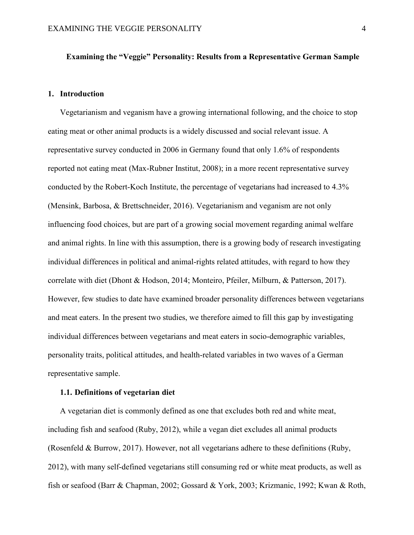#### **Examining the "Veggie" Personality: Results from a Representative German Sample**

## **1. Introduction**

Vegetarianism and veganism have a growing international following, and the choice to stop eating meat or other animal products is a widely discussed and social relevant issue. A representative survey conducted in 2006 in Germany found that only 1.6% of respondents reported not eating meat (Max-Rubner Institut, 2008); in a more recent representative survey conducted by the Robert-Koch Institute, the percentage of vegetarians had increased to 4.3% (Mensink, Barbosa, & Brettschneider, 2016). Vegetarianism and veganism are not only influencing food choices, but are part of a growing social movement regarding animal welfare and animal rights. In line with this assumption, there is a growing body of research investigating individual differences in political and animal-rights related attitudes, with regard to how they correlate with diet (Dhont & Hodson, 2014; Monteiro, Pfeiler, Milburn, & Patterson, 2017). However, few studies to date have examined broader personality differences between vegetarians and meat eaters. In the present two studies, we therefore aimed to fill this gap by investigating individual differences between vegetarians and meat eaters in socio-demographic variables, personality traits, political attitudes, and health-related variables in two waves of a German representative sample.

#### **1.1. Definitions of vegetarian diet**

A vegetarian diet is commonly defined as one that excludes both red and white meat, including fish and seafood (Ruby, 2012), while a vegan diet excludes all animal products (Rosenfeld & Burrow, 2017). However, not all vegetarians adhere to these definitions (Ruby, 2012), with many self-defined vegetarians still consuming red or white meat products, as well as fish or seafood (Barr & Chapman, 2002; Gossard & York, 2003; Krizmanic, 1992; Kwan & Roth,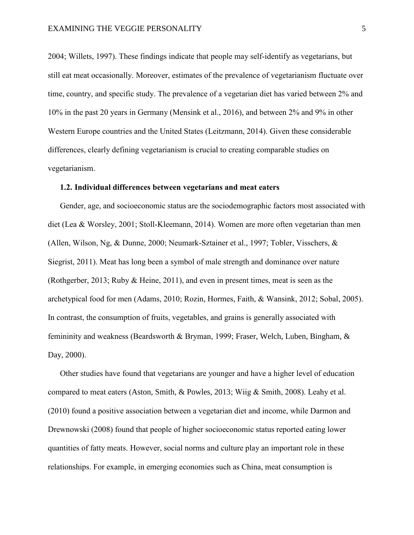2004; Willets, 1997). These findings indicate that people may self-identify as vegetarians, but still eat meat occasionally. Moreover, estimates of the prevalence of vegetarianism fluctuate over time, country, and specific study. The prevalence of a vegetarian diet has varied between 2% and 10% in the past 20 years in Germany (Mensink et al., 2016), and between 2% and 9% in other Western Europe countries and the United States (Leitzmann, 2014). Given these considerable differences, clearly defining vegetarianism is crucial to creating comparable studies on vegetarianism.

#### **1.2. Individual differences between vegetarians and meat eaters**

Gender, age, and socioeconomic status are the sociodemographic factors most associated with diet (Lea & Worsley, 2001; Stoll-Kleemann, 2014). Women are more often vegetarian than men (Allen, Wilson, Ng, & Dunne, 2000; Neumark-Sztainer et al., 1997; Tobler, Visschers, & Siegrist, 2011). Meat has long been a symbol of male strength and dominance over nature (Rothgerber, 2013; Ruby & Heine, 2011), and even in present times, meat is seen as the archetypical food for men (Adams, 2010; Rozin, Hormes, Faith, & Wansink, 2012; Sobal, 2005). In contrast, the consumption of fruits, vegetables, and grains is generally associated with femininity and weakness (Beardsworth & Bryman, 1999; Fraser, Welch, Luben, Bingham, & Day, 2000).

Other studies have found that vegetarians are younger and have a higher level of education compared to meat eaters (Aston, Smith, & Powles, 2013; Wiig & Smith, 2008). Leahy et al. (2010) found a positive association between a vegetarian diet and income, while Darmon and Drewnowski (2008) found that people of higher socioeconomic status reported eating lower quantities of fatty meats. However, social norms and culture play an important role in these relationships. For example, in emerging economies such as China, meat consumption is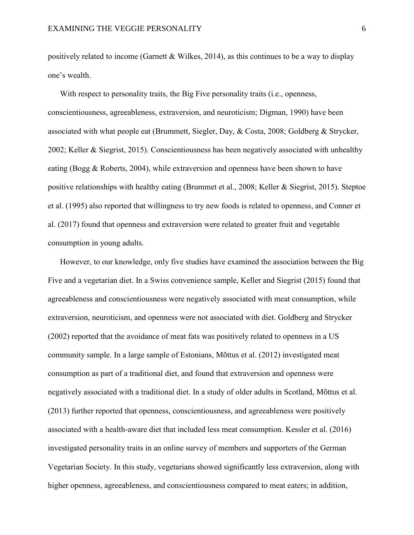positively related to income (Garnett & Wilkes, 2014), as this continues to be a way to display one's wealth.

With respect to personality traits, the Big Five personality traits *(i.e., openness,* conscientiousness, agreeableness, extraversion, and neuroticism; Digman, 1990) have been associated with what people eat (Brummett, Siegler, Day, & Costa, 2008; Goldberg & Strycker, 2002; Keller & Siegrist, 2015). Conscientiousness has been negatively associated with unhealthy eating (Bogg & Roberts, 2004), while extraversion and openness have been shown to have positive relationships with healthy eating (Brummet et al., 2008; Keller & Siegrist, 2015). Steptoe et al. (1995) also reported that willingness to try new foods is related to openness, and Conner et al. (2017) found that openness and extraversion were related to greater fruit and vegetable consumption in young adults.

However, to our knowledge, only five studies have examined the association between the Big Five and a vegetarian diet. In a Swiss convenience sample, Keller and Siegrist (2015) found that agreeableness and conscientiousness were negatively associated with meat consumption, while extraversion, neuroticism, and openness were not associated with diet. Goldberg and Strycker (2002) reported that the avoidance of meat fats was positively related to openness in a US community sample. In a large sample of Estonians, Mõttus et al. (2012) investigated meat consumption as part of a traditional diet, and found that extraversion and openness were negatively associated with a traditional diet. In a study of older adults in Scotland, Mõttus et al. (2013) further reported that openness, conscientiousness, and agreeableness were positively associated with a health-aware diet that included less meat consumption. Kessler et al. (2016) investigated personality traits in an online survey of members and supporters of the German Vegetarian Society. In this study, vegetarians showed significantly less extraversion, along with higher openness, agreeableness, and conscientiousness compared to meat eaters; in addition,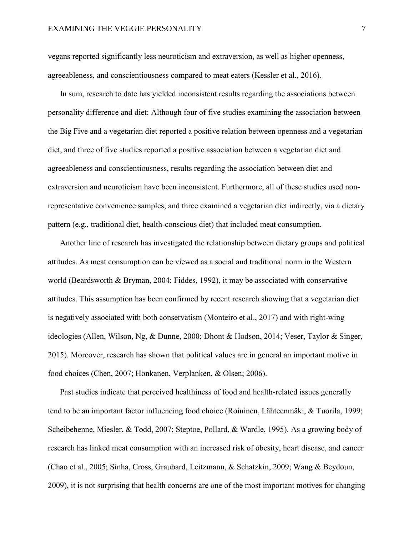vegans reported significantly less neuroticism and extraversion, as well as higher openness, agreeableness, and conscientiousness compared to meat eaters (Kessler et al., 2016).

In sum, research to date has yielded inconsistent results regarding the associations between personality difference and diet: Although four of five studies examining the association between the Big Five and a vegetarian diet reported a positive relation between openness and a vegetarian diet, and three of five studies reported a positive association between a vegetarian diet and agreeableness and conscientiousness, results regarding the association between diet and extraversion and neuroticism have been inconsistent. Furthermore, all of these studies used nonrepresentative convenience samples, and three examined a vegetarian diet indirectly, via a dietary pattern (e.g., traditional diet, health-conscious diet) that included meat consumption.

Another line of research has investigated the relationship between dietary groups and political attitudes. As meat consumption can be viewed as a social and traditional norm in the Western world (Beardsworth & Bryman, 2004; Fiddes, 1992), it may be associated with conservative attitudes. This assumption has been confirmed by recent research showing that a vegetarian diet is negatively associated with both conservatism (Monteiro et al., 2017) and with right-wing ideologies (Allen, Wilson, Ng, & Dunne, 2000; Dhont & Hodson, 2014; Veser, Taylor & Singer, 2015). Moreover, research has shown that political values are in general an important motive in food choices (Chen, 2007; Honkanen, Verplanken, & Olsen; 2006).

Past studies indicate that perceived healthiness of food and health-related issues generally tend to be an important factor influencing food choice (Roininen, Lähteenmäki, & Tuorila, 1999; Scheibehenne, Miesler, & Todd, 2007; Steptoe, Pollard, & Wardle, 1995). As a growing body of research has linked meat consumption with an increased risk of obesity, heart disease, and cancer (Chao et al., 2005; Sinha, Cross, Graubard, Leitzmann, & Schatzkin, 2009; Wang & Beydoun, 2009), it is not surprising that health concerns are one of the most important motives for changing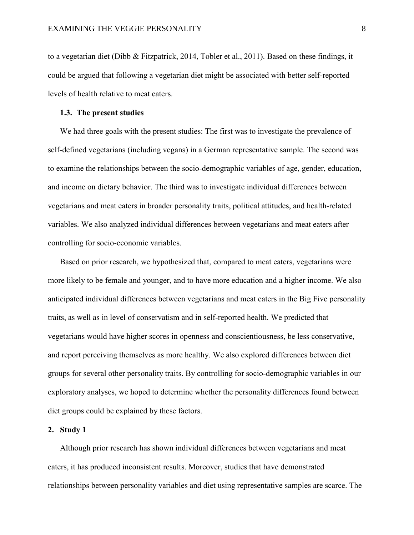to a vegetarian diet (Dibb & Fitzpatrick, 2014, Tobler et al., 2011). Based on these findings, it could be argued that following a vegetarian diet might be associated with better self-reported levels of health relative to meat eaters.

#### **1.3. The present studies**

We had three goals with the present studies: The first was to investigate the prevalence of self-defined vegetarians (including vegans) in a German representative sample. The second was to examine the relationships between the socio-demographic variables of age, gender, education, and income on dietary behavior. The third was to investigate individual differences between vegetarians and meat eaters in broader personality traits, political attitudes, and health-related variables. We also analyzed individual differences between vegetarians and meat eaters after controlling for socio-economic variables.

Based on prior research, we hypothesized that, compared to meat eaters, vegetarians were more likely to be female and younger, and to have more education and a higher income. We also anticipated individual differences between vegetarians and meat eaters in the Big Five personality traits, as well as in level of conservatism and in self-reported health. We predicted that vegetarians would have higher scores in openness and conscientiousness, be less conservative, and report perceiving themselves as more healthy. We also explored differences between diet groups for several other personality traits. By controlling for socio-demographic variables in our exploratory analyses, we hoped to determine whether the personality differences found between diet groups could be explained by these factors.

#### **2. Study 1**

Although prior research has shown individual differences between vegetarians and meat eaters, it has produced inconsistent results. Moreover, studies that have demonstrated relationships between personality variables and diet using representative samples are scarce. The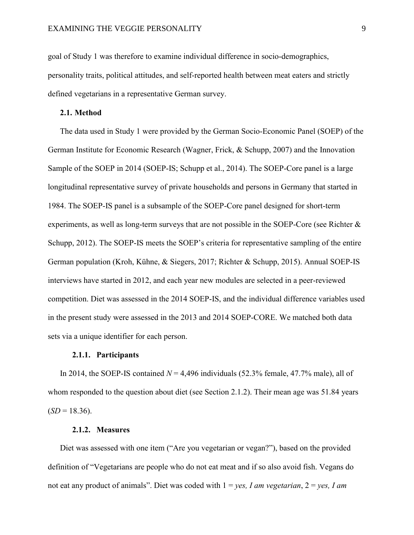goal of Study 1 was therefore to examine individual difference in socio-demographics, personality traits, political attitudes, and self-reported health between meat eaters and strictly defined vegetarians in a representative German survey.

#### **2.1. Method**

The data used in Study 1 were provided by the German Socio-Economic Panel (SOEP) of the German Institute for Economic Research (Wagner, Frick, & Schupp, 2007) and the Innovation Sample of the SOEP in 2014 (SOEP-IS; Schupp et al., 2014). The SOEP-Core panel is a large longitudinal representative survey of private households and persons in Germany that started in 1984. The SOEP-IS panel is a subsample of the SOEP-Core panel designed for short-term experiments, as well as long-term surveys that are not possible in the SOEP-Core (see Richter  $\&$ Schupp, 2012). The SOEP-IS meets the SOEP's criteria for representative sampling of the entire German population (Kroh, Kühne, & Siegers, 2017; Richter & Schupp, 2015). Annual SOEP-IS interviews have started in 2012, and each year new modules are selected in a peer-reviewed competition. Diet was assessed in the 2014 SOEP-IS, and the individual difference variables used in the present study were assessed in the 2013 and 2014 SOEP-CORE. We matched both data sets via a unique identifier for each person.

#### **2.1.1. Participants**

In 2014, the SOEP-IS contained  $N = 4,496$  individuals (52.3% female, 47.7% male), all of whom responded to the question about diet (see Section 2.1.2). Their mean age was 51.84 years  $(SD = 18.36)$ .

#### **2.1.2. Measures**

Diet was assessed with one item ("Are you vegetarian or vegan?"), based on the provided definition of "Vegetarians are people who do not eat meat and if so also avoid fish. Vegans do not eat any product of animals". Diet was coded with 1 = *yes, I am vegetarian*, 2 = *yes, I am*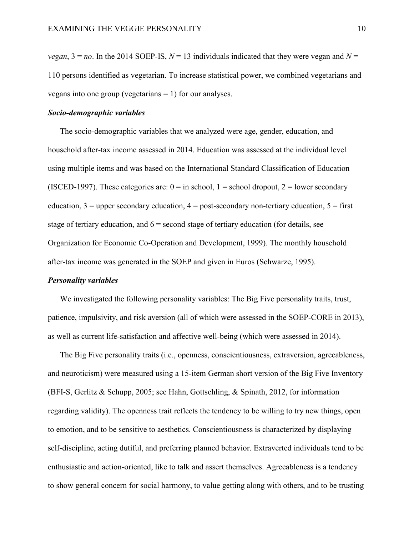*vegan*,  $3 = no$ . In the 2014 SOEP-IS,  $N = 13$  individuals indicated that they were vegan and  $N =$ 110 persons identified as vegetarian. To increase statistical power, we combined vegetarians and vegans into one group (vegetarians = 1) for our analyses.

#### *Socio-demographic variables*

The socio-demographic variables that we analyzed were age, gender, education, and household after-tax income assessed in 2014. Education was assessed at the individual level using multiple items and was based on the International Standard Classification of Education (ISCED-1997). These categories are:  $0 =$  in school,  $1 =$  school dropout,  $2 =$  lower secondary education,  $3 =$  upper secondary education,  $4 =$  post-secondary non-tertiary education,  $5 =$  first stage of tertiary education, and  $6 =$  second stage of tertiary education (for details, see Organization for Economic Co-Operation and Development, 1999). The monthly household after-tax income was generated in the SOEP and given in Euros (Schwarze, 1995).

#### *Personality variables*

We investigated the following personality variables: The Big Five personality traits, trust, patience, impulsivity, and risk aversion (all of which were assessed in the SOEP-CORE in 2013), as well as current life-satisfaction and affective well-being (which were assessed in 2014).

The Big Five personality traits (i.e., openness, conscientiousness, extraversion, agreeableness, and neuroticism) were measured using a 15-item German short version of the Big Five Inventory (BFI-S, Gerlitz & Schupp, 2005; see Hahn, Gottschling, & Spinath, 2012, for information regarding validity). The openness trait reflects the tendency to be willing to try new things, open to emotion, and to be sensitive to aesthetics. Conscientiousness is characterized by displaying self-discipline, acting dutiful, and preferring planned behavior. Extraverted individuals tend to be enthusiastic and action-oriented, like to talk and assert themselves. Agreeableness is a tendency to show general concern for social harmony, to value getting along with others, and to be trusting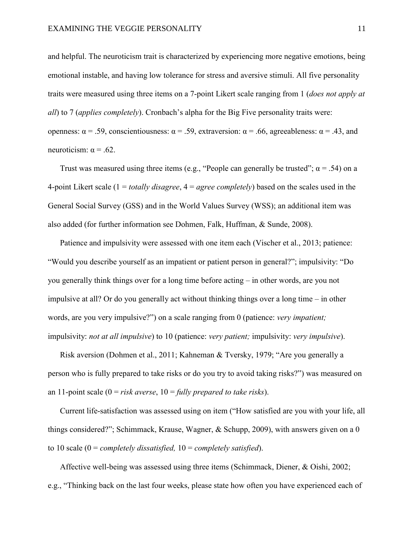and helpful. The neuroticism trait is characterized by experiencing more negative emotions, being emotional instable, and having low tolerance for stress and aversive stimuli. All five personality traits were measured using three items on a 7-point Likert scale ranging from 1 (*does not apply at all*) to 7 (*applies completely*). Cronbach's alpha for the Big Five personality traits were: openness:  $\alpha$  = .59, conscientiousness:  $\alpha$  = .59, extraversion:  $\alpha$  = .66, agreeableness:  $\alpha$  = .43, and neuroticism:  $\alpha$  = .62.

Trust was measured using three items (e.g., "People can generally be trusted";  $\alpha$  = .54) on a 4-point Likert scale (1 = *totally disagree*, 4 = *agree completely*) based on the scales used in the General Social Survey (GSS) and in the World Values Survey (WSS); an additional item was also added (for further information see Dohmen, Falk, Huffman, & Sunde, 2008).

Patience and impulsivity were assessed with one item each (Vischer et al., 2013; patience: "Would you describe yourself as an impatient or patient person in general?"; impulsivity: "Do you generally think things over for a long time before acting – in other words, are you not impulsive at all? Or do you generally act without thinking things over a long time – in other words, are you very impulsive?") on a scale ranging from 0 (patience: *very impatient;*  impulsivity: *not at all impulsive*) to 10 (patience: *very patient;* impulsivity: *very impulsive*).

Risk aversion (Dohmen et al., 2011; Kahneman & Tversky, 1979; "Are you generally a person who is fully prepared to take risks or do you try to avoid taking risks?") was measured on an 11-point scale (0 = *risk averse*, 10 = *fully prepared to take risks*).

Current life-satisfaction was assessed using on item ("How satisfied are you with your life, all things considered?"; Schimmack, Krause, Wagner, & Schupp, 2009), with answers given on a 0 to 10 scale (0 = *completely dissatisfied,* 10 = *completely satisfied*).

Affective well-being was assessed using three items (Schimmack, Diener, & Oishi, 2002; e.g., "Thinking back on the last four weeks, please state how often you have experienced each of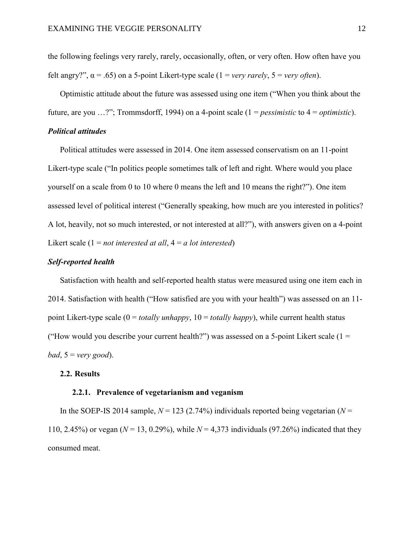the following feelings very rarely, rarely, occasionally, often, or very often. How often have you felt angry?",  $\alpha$  = .65) on a 5-point Likert-type scale (1 = *very rarely*, 5 = *very often*).

Optimistic attitude about the future was assessed using one item ("When you think about the future, are you …?"; Trommsdorff, 1994) on a 4-point scale (1 = *pessimistic* to 4 = *optimistic*).

#### *Political attitudes*

Political attitudes were assessed in 2014. One item assessed conservatism on an 11-point Likert-type scale ("In politics people sometimes talk of left and right. Where would you place yourself on a scale from 0 to 10 where 0 means the left and 10 means the right?"). One item assessed level of political interest ("Generally speaking, how much are you interested in politics? A lot, heavily, not so much interested, or not interested at all?"), with answers given on a 4-point Likert scale (1 = *not interested at all*, 4 = *a lot interested*)

#### *Self-reported health*

Satisfaction with health and self-reported health status were measured using one item each in 2014. Satisfaction with health ("How satisfied are you with your health") was assessed on an 11 point Likert-type scale (0 = *totally unhappy*, 10 = *totally happy*), while current health status ("How would you describe your current health?") was assessed on a 5-point Likert scale  $(1 =$ *bad*, 5 = *very good*).

#### **2.2. Results**

#### **2.2.1. Prevalence of vegetarianism and veganism**

In the SOEP-IS 2014 sample,  $N = 123$  (2.74%) individuals reported being vegetarian ( $N =$ 110, 2.45%) or vegan (*N* = 13, 0.29%), while *N* = 4,373 individuals (97.26%) indicated that they consumed meat.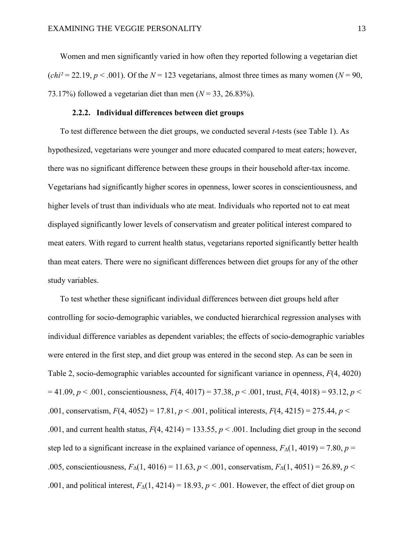Women and men significantly varied in how often they reported following a vegetarian diet  $(chi<sup>2</sup> = 22.19, p < .001)$ . Of the  $N = 123$  vegetarians, almost three times as many women ( $N = 90$ , 73.17%) followed a vegetarian diet than men (*N* = 33, 26.83%).

#### **2.2.2. Individual differences between diet groups**

To test difference between the diet groups, we conducted several *t*-tests (see Table 1). As hypothesized, vegetarians were younger and more educated compared to meat eaters; however, there was no significant difference between these groups in their household after-tax income. Vegetarians had significantly higher scores in openness, lower scores in conscientiousness, and higher levels of trust than individuals who ate meat. Individuals who reported not to eat meat displayed significantly lower levels of conservatism and greater political interest compared to meat eaters. With regard to current health status, vegetarians reported significantly better health than meat eaters. There were no significant differences between diet groups for any of the other study variables.

To test whether these significant individual differences between diet groups held after controlling for socio-demographic variables, we conducted hierarchical regression analyses with individual difference variables as dependent variables; the effects of socio-demographic variables were entered in the first step, and diet group was entered in the second step. As can be seen in Table 2, socio-demographic variables accounted for significant variance in openness, *F*(4, 4020)  $= 41.09, p \lt 0.001$ , conscientiousness,  $F(4, 4017) = 37.38, p \lt 0.001$ , trust,  $F(4, 4018) = 93.12, p \lt 0.001$ .001, conservatism, *F*(4, 4052) = 17.81, *p* < .001, political interests, *F*(4, 4215) = 275.44, *p* < .001, and current health status,  $F(4, 4214) = 133.55$ ,  $p < .001$ . Including diet group in the second step led to a significant increase in the explained variance of openness,  $F_{\Delta}(1, 4019) = 7.80$ ,  $p =$ .005, conscientiousness,  $F_{\Delta}(1, 4016) = 11.63$ ,  $p < .001$ , conservatism,  $F_{\Delta}(1, 4051) = 26.89$ ,  $p < .005$ .001, and political interest,  $F_\Delta(1, 4214) = 18.93$ ,  $p < .001$ . However, the effect of diet group on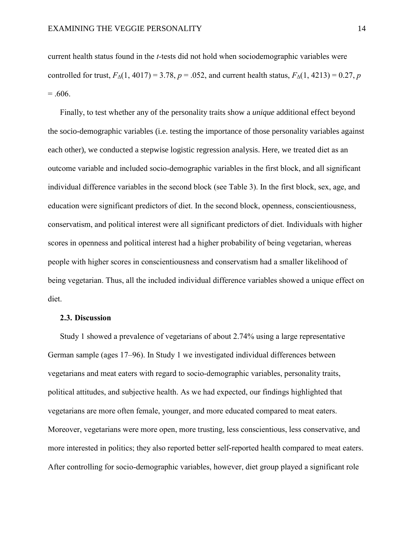current health status found in the *t-*tests did not hold when sociodemographic variables were controlled for trust,  $F_{\Delta}(1, 4017) = 3.78$ ,  $p = .052$ , and current health status,  $F_{\Delta}(1, 4213) = 0.27$ , *p*  $= .606.$ 

Finally, to test whether any of the personality traits show a *unique* additional effect beyond the socio-demographic variables (i.e. testing the importance of those personality variables against each other), we conducted a stepwise logistic regression analysis. Here, we treated diet as an outcome variable and included socio-demographic variables in the first block, and all significant individual difference variables in the second block (see Table 3). In the first block, sex, age, and education were significant predictors of diet. In the second block, openness, conscientiousness, conservatism, and political interest were all significant predictors of diet. Individuals with higher scores in openness and political interest had a higher probability of being vegetarian, whereas people with higher scores in conscientiousness and conservatism had a smaller likelihood of being vegetarian. Thus, all the included individual difference variables showed a unique effect on diet.

#### **2.3. Discussion**

Study 1 showed a prevalence of vegetarians of about 2.74% using a large representative German sample (ages 17–96). In Study 1 we investigated individual differences between vegetarians and meat eaters with regard to socio-demographic variables, personality traits, political attitudes, and subjective health. As we had expected, our findings highlighted that vegetarians are more often female, younger, and more educated compared to meat eaters. Moreover, vegetarians were more open, more trusting, less conscientious, less conservative, and more interested in politics; they also reported better self-reported health compared to meat eaters. After controlling for socio-demographic variables, however, diet group played a significant role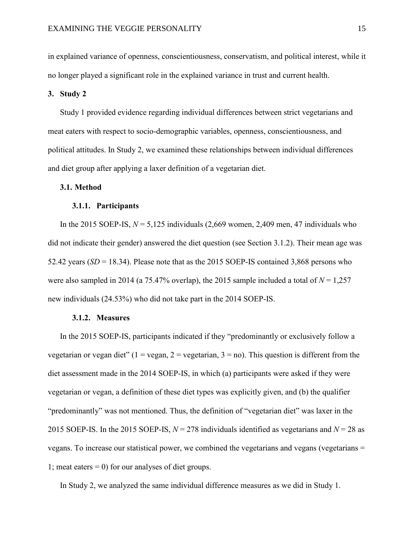in explained variance of openness, conscientiousness, conservatism, and political interest, while it no longer played a significant role in the explained variance in trust and current health.

**3. Study 2**

Study 1 provided evidence regarding individual differences between strict vegetarians and meat eaters with respect to socio-demographic variables, openness, conscientiousness, and political attitudes. In Study 2, we examined these relationships between individual differences and diet group after applying a laxer definition of a vegetarian diet.

#### **3.1. Method**

#### **3.1.1. Participants**

In the 2015 SOEP-IS,  $N = 5,125$  individuals (2,669 women, 2,409 men, 47 individuals who did not indicate their gender) answered the diet question (see Section 3.1.2). Their mean age was 52.42 years (*SD* = 18.34). Please note that as the 2015 SOEP-IS contained 3,868 persons who were also sampled in 2014 (a  $75.47\%$  overlap), the 2015 sample included a total of  $N = 1,257$ new individuals (24.53%) who did not take part in the 2014 SOEP-IS.

#### **3.1.2. Measures**

In the 2015 SOEP-IS, participants indicated if they "predominantly or exclusively follow a vegetarian or vegan diet" (1 = vegan, 2 = vegetarian, 3 = no). This question is different from the diet assessment made in the 2014 SOEP-IS, in which (a) participants were asked if they were vegetarian or vegan, a definition of these diet types was explicitly given, and (b) the qualifier "predominantly" was not mentioned. Thus, the definition of "vegetarian diet" was laxer in the 2015 SOEP-IS. In the 2015 SOEP-IS,  $N = 278$  individuals identified as vegetarians and  $N = 28$  as vegans. To increase our statistical power, we combined the vegetarians and vegans (vegetarians = 1; meat eaters  $= 0$ ) for our analyses of diet groups.

In Study 2, we analyzed the same individual difference measures as we did in Study 1.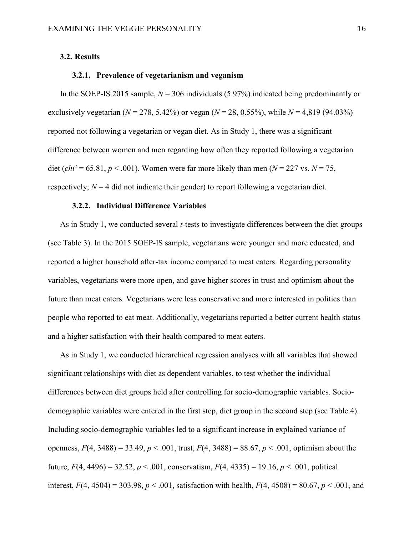#### **3.2. Results**

#### **3.2.1. Prevalence of vegetarianism and veganism**

In the SOEP-IS 2015 sample,  $N = 306$  individuals (5.97%) indicated being predominantly or exclusively vegetarian  $(N = 278, 5.42\%)$  or vegan  $(N = 28, 0.55\%)$ , while  $N = 4,819$  (94.03%) reported not following a vegetarian or vegan diet. As in Study 1, there was a significant difference between women and men regarding how often they reported following a vegetarian diet (*chi*<sup>2</sup> = 65.81, *p* < .001). Women were far more likely than men ( $N = 227$  vs.  $N = 75$ , respectively;  $N = 4$  did not indicate their gender) to report following a vegetarian diet.

#### **3.2.2. Individual Difference Variables**

As in Study 1, we conducted several *t*-tests to investigate differences between the diet groups (see Table 3). In the 2015 SOEP-IS sample, vegetarians were younger and more educated, and reported a higher household after-tax income compared to meat eaters. Regarding personality variables, vegetarians were more open, and gave higher scores in trust and optimism about the future than meat eaters. Vegetarians were less conservative and more interested in politics than people who reported to eat meat. Additionally, vegetarians reported a better current health status and a higher satisfaction with their health compared to meat eaters.

As in Study 1, we conducted hierarchical regression analyses with all variables that showed significant relationships with diet as dependent variables, to test whether the individual differences between diet groups held after controlling for socio-demographic variables. Sociodemographic variables were entered in the first step, diet group in the second step (see Table 4). Including socio-demographic variables led to a significant increase in explained variance of openness,  $F(4, 3488) = 33.49$ ,  $p < .001$ , trust,  $F(4, 3488) = 88.67$ ,  $p < .001$ , optimism about the future,  $F(4, 4496) = 32.52$ ,  $p < .001$ , conservatism,  $F(4, 4335) = 19.16$ ,  $p < .001$ , political interest,  $F(4, 4504) = 303.98$ ,  $p < .001$ , satisfaction with health,  $F(4, 4508) = 80.67$ ,  $p < .001$ , and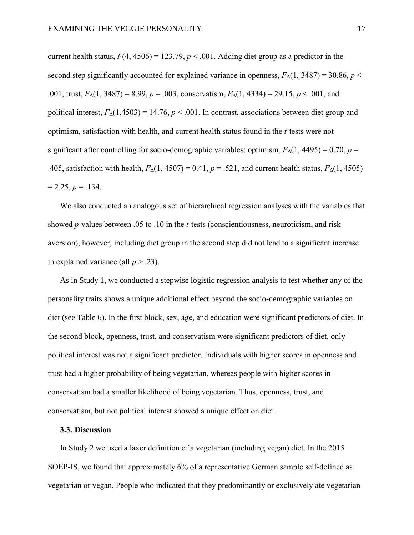current health status,  $F(4, 4506) = 123.79$ ,  $p < .001$ . Adding diet group as a predictor in the second step significantly accounted for explained variance in openness,  $F_{\Delta}(1, 3487) = 30.86$ ,  $p <$ .001, trust,  $F_{\Delta}(1, 3487) = 8.99$ ,  $p = .003$ , conservatism,  $F_{\Delta}(1, 4334) = 29.15$ ,  $p < .001$ , and political interest,  $F_{\Delta}(1,4503) = 14.76$ ,  $p < .001$ . In contrast, associations between diet group and optimism, satisfaction with health, and current health status found in the *t*-tests were not significant after controlling for socio-demographic variables: optimism,  $F_{\Delta}(1, 4495) = 0.70$ ,  $p =$ .405, satisfaction with health,  $F_{\Delta}(1, 4507) = 0.41$ ,  $p = .521$ , and current health status,  $F_{\Delta}(1, 4505)$  $= 2.25, p = .134.$ 

We also conducted an analogous set of hierarchical regression analyses with the variables that showed *p*-values between .05 to .10 in the *t*-tests (conscientiousness, neuroticism, and risk aversion), however, including diet group in the second step did not lead to a significant increase in explained variance (all  $p > .23$ ).

As in Study 1, we conducted a stepwise logistic regression analysis to test whether any of the personality traits shows a unique additional effect beyond the socio-demographic variables on diet (see Table 6). In the first block, sex, age, and education were significant predictors of diet. In the second block, openness, trust, and conservatism were significant predictors of diet, only political interest was not a significant predictor. Individuals with higher scores in openness and trust had a higher probability of being vegetarian, whereas people with higher scores in conservatism had a smaller likelihood of being vegetarian. Thus, openness, trust, and conservatism, but not political interest showed a unique effect on diet.

#### **3.3. Discussion**

In Study 2 we used a laxer definition of a vegetarian (including vegan) diet. In the 2015 SOEP-IS, we found that approximately 6% of a representative German sample self-defined as vegetarian or vegan. People who indicated that they predominantly or exclusively ate vegetarian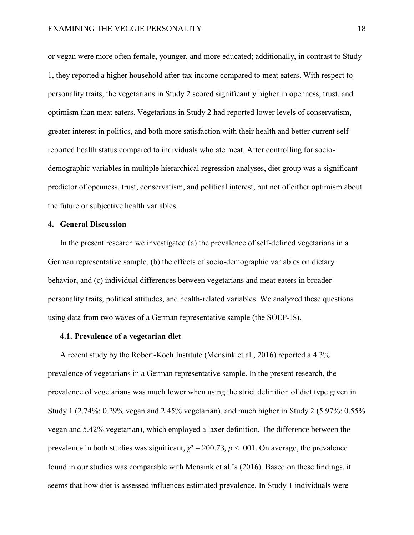or vegan were more often female, younger, and more educated; additionally, in contrast to Study 1, they reported a higher household after-tax income compared to meat eaters. With respect to personality traits, the vegetarians in Study 2 scored significantly higher in openness, trust, and optimism than meat eaters. Vegetarians in Study 2 had reported lower levels of conservatism, greater interest in politics, and both more satisfaction with their health and better current selfreported health status compared to individuals who ate meat. After controlling for sociodemographic variables in multiple hierarchical regression analyses, diet group was a significant predictor of openness, trust, conservatism, and political interest, but not of either optimism about the future or subjective health variables.

#### **4. General Discussion**

In the present research we investigated (a) the prevalence of self-defined vegetarians in a German representative sample, (b) the effects of socio-demographic variables on dietary behavior, and (c) individual differences between vegetarians and meat eaters in broader personality traits, political attitudes, and health-related variables. We analyzed these questions using data from two waves of a German representative sample (the SOEP-IS).

#### **4.1. Prevalence of a vegetarian diet**

A recent study by the Robert-Koch Institute (Mensink et al., 2016) reported a 4.3% prevalence of vegetarians in a German representative sample. In the present research, the prevalence of vegetarians was much lower when using the strict definition of diet type given in Study 1 (2.74%: 0.29% vegan and 2.45% vegetarian), and much higher in Study 2 (5.97%: 0.55% vegan and 5.42% vegetarian), which employed a laxer definition. The difference between the prevalence in both studies was significant,  $\chi^2 = 200.73$ ,  $p < .001$ . On average, the prevalence found in our studies was comparable with Mensink et al.'s (2016). Based on these findings, it seems that how diet is assessed influences estimated prevalence. In Study 1 individuals were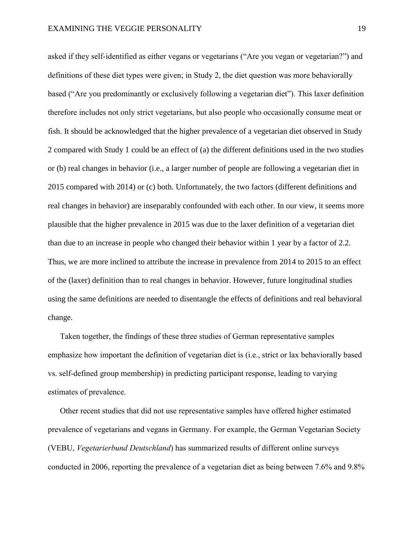asked if they self-identified as either vegans or vegetarians ("Are you vegan or vegetarian?") and definitions of these diet types were given; in Study 2, the diet question was more behaviorally based ("Are you predominantly or exclusively following a vegetarian diet"). This laxer definition therefore includes not only strict vegetarians, but also people who occasionally consume meat or fish. It should be acknowledged that the higher prevalence of a vegetarian diet observed in Study 2 compared with Study 1 could be an effect of (a) the different definitions used in the two studies or (b) real changes in behavior (i.e., a larger number of people are following a vegetarian diet in 2015 compared with 2014) or (c) both. Unfortunately, the two factors (different definitions and real changes in behavior) are inseparably confounded with each other. In our view, it seems more plausible that the higher prevalence in 2015 was due to the laxer definition of a vegetarian diet than due to an increase in people who changed their behavior within 1 year by a factor of 2.2. Thus, we are more inclined to attribute the increase in prevalence from 2014 to 2015 to an effect of the (laxer) definition than to real changes in behavior. However, future longitudinal studies using the same definitions are needed to disentangle the effects of definitions and real behavioral change.

Taken together, the findings of these three studies of German representative samples emphasize how important the definition of vegetarian diet is (i.e., strict or lax behaviorally based vs. self-defined group membership) in predicting participant response, leading to varying estimates of prevalence.

Other recent studies that did not use representative samples have offered higher estimated prevalence of vegetarians and vegans in Germany. For example, the German Vegetarian Society (VEBU, *Vegetarierbund Deutschland*) has summarized results of different online surveys conducted in 2006, reporting the prevalence of a vegetarian diet as being between 7.6% and 9.8%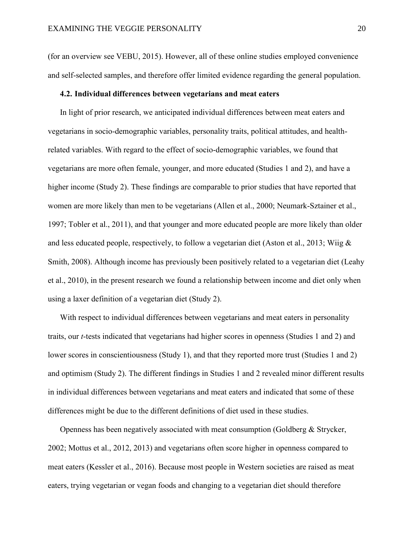(for an overview see VEBU, 2015). However, all of these online studies employed convenience and self-selected samples, and therefore offer limited evidence regarding the general population.

#### **4.2. Individual differences between vegetarians and meat eaters**

In light of prior research, we anticipated individual differences between meat eaters and vegetarians in socio-demographic variables, personality traits, political attitudes, and healthrelated variables. With regard to the effect of socio-demographic variables, we found that vegetarians are more often female, younger, and more educated (Studies 1 and 2), and have a higher income (Study 2). These findings are comparable to prior studies that have reported that women are more likely than men to be vegetarians (Allen et al., 2000; Neumark-Sztainer et al., 1997; Tobler et al., 2011), and that younger and more educated people are more likely than older and less educated people, respectively, to follow a vegetarian diet (Aston et al., 2013; Wiig & Smith, 2008). Although income has previously been positively related to a vegetarian diet (Leahy et al., 2010), in the present research we found a relationship between income and diet only when using a laxer definition of a vegetarian diet (Study 2).

With respect to individual differences between vegetarians and meat eaters in personality traits, our *t*-tests indicated that vegetarians had higher scores in openness (Studies 1 and 2) and lower scores in conscientiousness (Study 1), and that they reported more trust (Studies 1 and 2) and optimism (Study 2). The different findings in Studies 1 and 2 revealed minor different results in individual differences between vegetarians and meat eaters and indicated that some of these differences might be due to the different definitions of diet used in these studies.

Openness has been negatively associated with meat consumption (Goldberg & Strycker, 2002; Mottus et al., 2012, 2013) and vegetarians often score higher in openness compared to meat eaters (Kessler et al., 2016). Because most people in Western societies are raised as meat eaters, trying vegetarian or vegan foods and changing to a vegetarian diet should therefore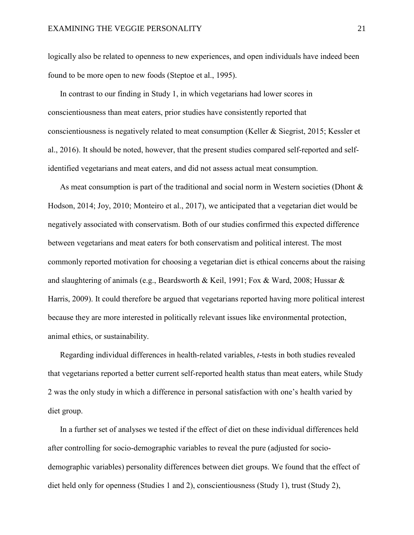logically also be related to openness to new experiences, and open individuals have indeed been found to be more open to new foods (Steptoe et al., 1995).

In contrast to our finding in Study 1, in which vegetarians had lower scores in conscientiousness than meat eaters, prior studies have consistently reported that conscientiousness is negatively related to meat consumption (Keller & Siegrist, 2015; Kessler et al., 2016). It should be noted, however, that the present studies compared self-reported and selfidentified vegetarians and meat eaters, and did not assess actual meat consumption.

As meat consumption is part of the traditional and social norm in Western societies (Dhont  $\&$ Hodson, 2014; Joy, 2010; Monteiro et al., 2017), we anticipated that a vegetarian diet would be negatively associated with conservatism. Both of our studies confirmed this expected difference between vegetarians and meat eaters for both conservatism and political interest. The most commonly reported motivation for choosing a vegetarian diet is ethical concerns about the raising and slaughtering of animals (e.g., Beardsworth & Keil, 1991; Fox & Ward, 2008; Hussar & Harris, 2009). It could therefore be argued that vegetarians reported having more political interest because they are more interested in politically relevant issues like environmental protection, animal ethics, or sustainability.

Regarding individual differences in health-related variables, *t*-tests in both studies revealed that vegetarians reported a better current self-reported health status than meat eaters, while Study 2 was the only study in which a difference in personal satisfaction with one's health varied by diet group.

In a further set of analyses we tested if the effect of diet on these individual differences held after controlling for socio-demographic variables to reveal the pure (adjusted for sociodemographic variables) personality differences between diet groups. We found that the effect of diet held only for openness (Studies 1 and 2), conscientiousness (Study 1), trust (Study 2),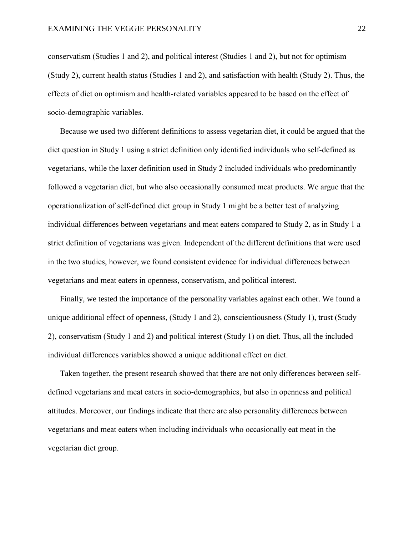conservatism (Studies 1 and 2), and political interest (Studies 1 and 2), but not for optimism (Study 2), current health status (Studies 1 and 2), and satisfaction with health (Study 2). Thus, the effects of diet on optimism and health-related variables appeared to be based on the effect of socio-demographic variables.

Because we used two different definitions to assess vegetarian diet, it could be argued that the diet question in Study 1 using a strict definition only identified individuals who self-defined as vegetarians, while the laxer definition used in Study 2 included individuals who predominantly followed a vegetarian diet, but who also occasionally consumed meat products. We argue that the operationalization of self-defined diet group in Study 1 might be a better test of analyzing individual differences between vegetarians and meat eaters compared to Study 2, as in Study 1 a strict definition of vegetarians was given. Independent of the different definitions that were used in the two studies, however, we found consistent evidence for individual differences between vegetarians and meat eaters in openness, conservatism, and political interest.

Finally, we tested the importance of the personality variables against each other. We found a unique additional effect of openness, (Study 1 and 2), conscientiousness (Study 1), trust (Study 2), conservatism (Study 1 and 2) and political interest (Study 1) on diet. Thus, all the included individual differences variables showed a unique additional effect on diet.

Taken together, the present research showed that there are not only differences between selfdefined vegetarians and meat eaters in socio-demographics, but also in openness and political attitudes. Moreover, our findings indicate that there are also personality differences between vegetarians and meat eaters when including individuals who occasionally eat meat in the vegetarian diet group.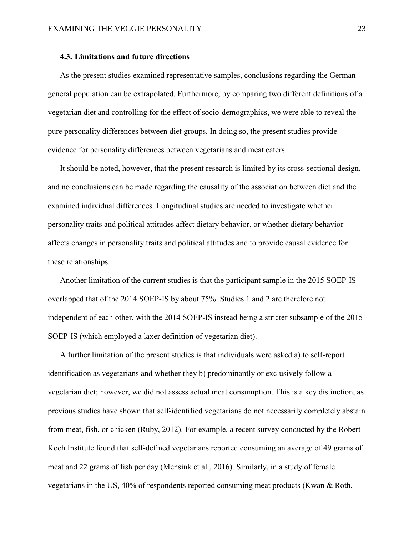#### **4.3. Limitations and future directions**

As the present studies examined representative samples, conclusions regarding the German general population can be extrapolated. Furthermore, by comparing two different definitions of a vegetarian diet and controlling for the effect of socio-demographics, we were able to reveal the pure personality differences between diet groups. In doing so, the present studies provide evidence for personality differences between vegetarians and meat eaters.

It should be noted, however, that the present research is limited by its cross-sectional design, and no conclusions can be made regarding the causality of the association between diet and the examined individual differences. Longitudinal studies are needed to investigate whether personality traits and political attitudes affect dietary behavior, or whether dietary behavior affects changes in personality traits and political attitudes and to provide causal evidence for these relationships.

Another limitation of the current studies is that the participant sample in the 2015 SOEP-IS overlapped that of the 2014 SOEP-IS by about 75%. Studies 1 and 2 are therefore not independent of each other, with the 2014 SOEP-IS instead being a stricter subsample of the 2015 SOEP-IS (which employed a laxer definition of vegetarian diet).

A further limitation of the present studies is that individuals were asked a) to self-report identification as vegetarians and whether they b) predominantly or exclusively follow a vegetarian diet; however, we did not assess actual meat consumption. This is a key distinction, as previous studies have shown that self-identified vegetarians do not necessarily completely abstain from meat, fish, or chicken (Ruby, 2012). For example, a recent survey conducted by the Robert-Koch Institute found that self-defined vegetarians reported consuming an average of 49 grams of meat and 22 grams of fish per day (Mensink et al., 2016). Similarly, in a study of female vegetarians in the US, 40% of respondents reported consuming meat products (Kwan & Roth,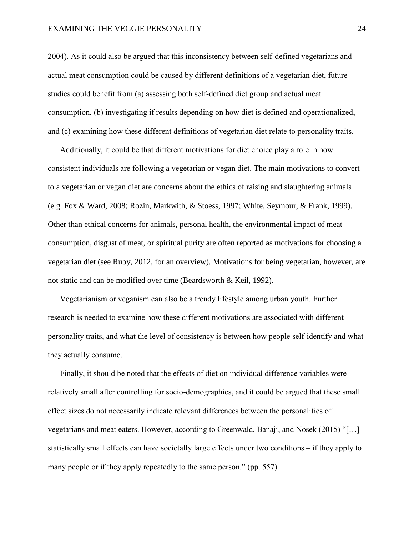2004). As it could also be argued that this inconsistency between self-defined vegetarians and actual meat consumption could be caused by different definitions of a vegetarian diet, future studies could benefit from (a) assessing both self-defined diet group and actual meat consumption, (b) investigating if results depending on how diet is defined and operationalized, and (c) examining how these different definitions of vegetarian diet relate to personality traits.

Additionally, it could be that different motivations for diet choice play a role in how consistent individuals are following a vegetarian or vegan diet. The main motivations to convert to a vegetarian or vegan diet are concerns about the ethics of raising and slaughtering animals (e.g. Fox & Ward, 2008; Rozin, Markwith, & Stoess, 1997; White, Seymour, & Frank, 1999). Other than ethical concerns for animals, personal health, the environmental impact of meat consumption, disgust of meat, or spiritual purity are often reported as motivations for choosing a vegetarian diet (see Ruby, 2012, for an overview). Motivations for being vegetarian, however, are not static and can be modified over time (Beardsworth & Keil, 1992).

Vegetarianism or veganism can also be a trendy lifestyle among urban youth. Further research is needed to examine how these different motivations are associated with different personality traits, and what the level of consistency is between how people self-identify and what they actually consume.

Finally, it should be noted that the effects of diet on individual difference variables were relatively small after controlling for socio-demographics, and it could be argued that these small effect sizes do not necessarily indicate relevant differences between the personalities of vegetarians and meat eaters. However, according to Greenwald, Banaji, and Nosek (2015) "[…] statistically small effects can have societally large effects under two conditions – if they apply to many people or if they apply repeatedly to the same person." (pp. 557).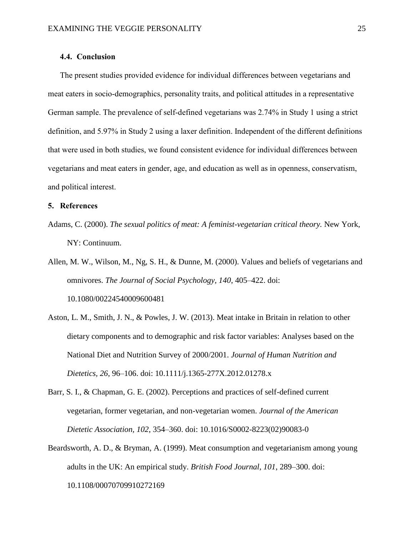#### **4.4. Conclusion**

The present studies provided evidence for individual differences between vegetarians and meat eaters in socio-demographics, personality traits, and political attitudes in a representative German sample. The prevalence of self-defined vegetarians was 2.74% in Study 1 using a strict definition, and 5.97% in Study 2 using a laxer definition. Independent of the different definitions that were used in both studies, we found consistent evidence for individual differences between vegetarians and meat eaters in gender, age, and education as well as in openness, conservatism, and political interest.

## **5. References**

Adams, C. (2000). *The sexual politics of meat: A feminist-vegetarian critical theory.* New York, NY: Continuum.

Allen, M. W., Wilson, M., Ng, S. H., & Dunne, M. (2000). Values and beliefs of vegetarians and omnivores. *The Journal of Social Psychology, 140*, 405–422. doi: [10.1080/00224540009600481](https://doi.org/10.1080/00224540009600481)

- Aston, L. M., Smith, J. N., & Powles, J. W. (2013). Meat intake in Britain in relation to other dietary components and to demographic and risk factor variables: Analyses based on the National Diet and Nutrition Survey of 2000/2001. *Journal of Human Nutrition and Dietetics, 26*, 96–106. doi: 10.1111/j.1365-277X.2012.01278.x
- Barr, S. I., & Chapman, G. E. (2002). Perceptions and practices of self-defined current vegetarian, former vegetarian, and non-vegetarian women. *Journal of the American Dietetic Association, 102*, 354–360. doi: [10.1016/S0002-8223\(02\)90083-0](http://dx.doi.org/10.1016/S0002-8223(02)90083-0)
- Beardsworth, A. D., & Bryman, A. (1999). Meat consumption and vegetarianism among young adults in the UK: An empirical study. *British Food Journal, 101*, 289–300. doi: 10.1108/00070709910272169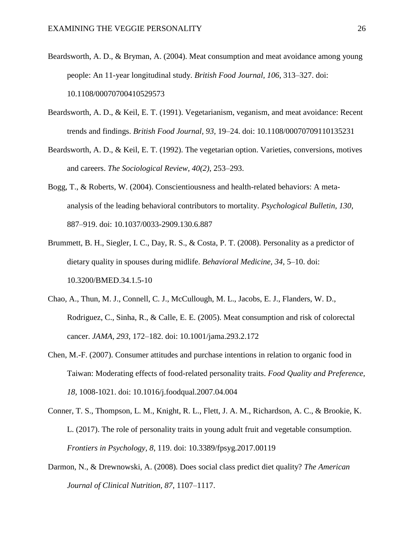- Beardsworth, A. D., & Bryman, A. (2004). Meat consumption and meat avoidance among young people: An 11-year longitudinal study. *British Food Journal, 106*, 313–327. doi: 10.1108/00070700410529573
- Beardsworth, A. D., & Keil, E. T. (1991). Vegetarianism, veganism, and meat avoidance: Recent trends and findings. *British Food Journal, 93,* 19–24. doi: 10.1108/00070709110135231
- Beardsworth, A. D., & Keil, E. T. (1992). The vegetarian option. Varieties, conversions, motives and careers. *The Sociological Review, 40(2)*, 253–293.
- Bogg, T., & Roberts, W. (2004). Conscientiousness and health-related behaviors: A metaanalysis of the leading behavioral contributors to mortality. *Psychological Bulletin, 130*, 887–919. doi: 10.1037/0033-2909.130.6.887
- Brummett, B. H., Siegler, I. C., Day, R. S., & Costa, P. T. (2008). Personality as a predictor of dietary quality in spouses during midlife. *Behavioral Medicine, 34*, 5–10. doi: [10.3200/BMED.34.1.5-10](https://dx.doi.org/10.3200%2FBMED.34.1.5-10)
- Chao, A., Thun, M. J., Connell, C. J., McCullough, M. L., Jacobs, E. J., Flanders, W. D., Rodriguez, C., Sinha, R., & Calle, E. E. (2005). Meat consumption and risk of colorectal cancer. *JAMA, 293*, 172–182. doi: [10.1001/jama.293.2.172](https://doi.org/10.1001/jama.293.2.172)
- Chen, M.-F. (2007). Consumer attitudes and purchase intentions in relation to organic food in Taiwan: Moderating effects of food-related personality traits. *Food Quality and Preference, 18,* 1008-1021. doi: [10.1016/j.foodqual.2007.04.004](https://doi.org/10.1016/j.foodqual.2007.04.004)
- Conner, T. S., Thompson, L. M., Knight, R. L., Flett, J. A. M., Richardson, A. C., & Brookie, K. L. (2017). The role of personality traits in young adult fruit and vegetable consumption. *Frontiers in Psychology, 8*, 119. doi: 10.3389/fpsyg.2017.00119
- Darmon, N., & Drewnowski, A. (2008). Does social class predict diet quality? *The American Journal of Clinical Nutrition, 87*, 1107–1117.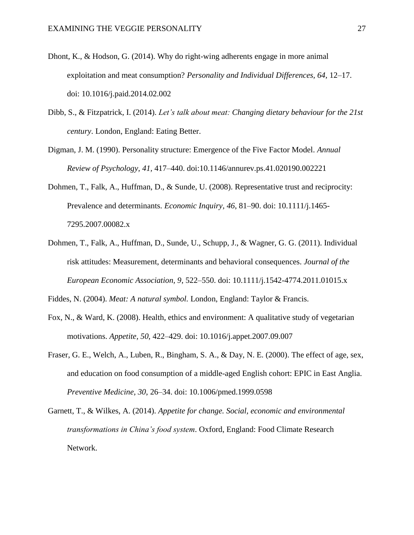- Dhont, K., & Hodson, G. (2014). Why do right-wing adherents engage in more animal exploitation and meat consumption? *Personality and Individual Differences, 64,* 12–17. doi: 10.1016/j.paid.2014.02.002
- Dibb, S., & Fitzpatrick, I. (2014). *Let's talk about meat: Changing dietary behaviour for the 21st century*. London, England: Eating Better.
- Digman, J. M. (1990). Personality structure: Emergence of the Five Factor Model. *Annual Review of Psychology, 41,* 417–440. doi:10.1146/annurev.ps.41.020190.002221
- Dohmen, T., Falk, A., Huffman, D., & Sunde, U. (2008). Representative trust and reciprocity: Prevalence and determinants. *Economic Inquiry, 46*, 81–90. doi: 10.1111/j.1465- 7295.2007.00082.x
- Dohmen, T., Falk, A., Huffman, D., Sunde, U., Schupp, J., & Wagner, G. G. (2011). Individual risk attitudes: Measurement, determinants and behavioral consequences. *Journal of the European Economic Association, 9*, 522–550. doi: 10.1111/j.1542-4774.2011.01015.x

Fiddes, N. (2004). *Meat: A natural symbol.* London, England: Taylor & Francis.

- Fox, N., & Ward, K. (2008). Health, ethics and environment: A qualitative study of vegetarian motivations. *Appetite, 50*, 422–429. doi: 10.1016/j.appet.2007.09.007
- Fraser, G. E., Welch, A., Luben, R., Bingham, S. A., & Day, N. E. (2000). The effect of age, sex, and education on food consumption of a middle-aged English cohort: EPIC in East Anglia. *Preventive Medicine, 30*, 26–34. doi: 10.1006/pmed.1999.0598
- Garnett, T., & Wilkes, A. (2014). *Appetite for change. Social, economic and environmental transformations in China's food system*. Oxford, England: Food Climate Research Network.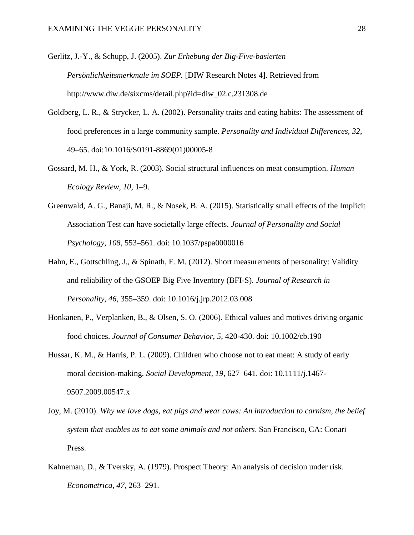Gerlitz, J.-Y., & Schupp, J. (2005). *Zur Erhebung der Big-Five-basierten Persönlichkeitsmerkmale im SOEP.* [DIW Research Notes 4]. Retrieved from http://www.diw.de/sixcms/detail.php?id=diw\_02.c.231308.de

- Goldberg, L. R., & Strycker, L. A. (2002). Personality traits and eating habits: The assessment of food preferences in a large community sample. *Personality and Individual Differences, 32*, 49–65. doi:10.1016/S0191-8869(01)00005-8
- Gossard, M. H., & York, R. (2003). Social structural influences on meat consumption. *Human Ecology Review, 10,* 1–9.
- Greenwald, A. G., Banaji, M. R., & Nosek, B. A. (2015). Statistically small effects of the Implicit Association Test can have societally large effects. *Journal of Personality and Social Psychology, 108*, 553–561. doi: 10.1037/pspa0000016
- Hahn, E., Gottschling, J., & Spinath, F. M. (2012). Short measurements of personality: Validity and reliability of the GSOEP Big Five Inventory (BFI-S). *Journal of Research in Personality, 46*, 355–359. doi: 10.1016/j.jrp.2012.03.008
- Honkanen, P., Verplanken, B., & Olsen, S. O. (2006). Ethical values and motives driving organic food choices. *Journal of Consumer Behavior, 5*, 420-430. doi: 10.1002/cb.190
- Hussar, K. M., & Harris, P. L. (2009). Children who choose not to eat meat: A study of early moral decision-making. *Social Development, 19*, 627–641. doi: 10.1111/j.1467- 9507.2009.00547.x
- Joy, M. (2010). *Why we love dogs, eat pigs and wear cows: An introduction to carnism, the belief system that enables us to eat some animals and not others*. San Francisco, CA: Conari Press.
- Kahneman, D., & Tversky, A. (1979). Prospect Theory: An analysis of decision under risk. *Econometrica, 47*, 263–291.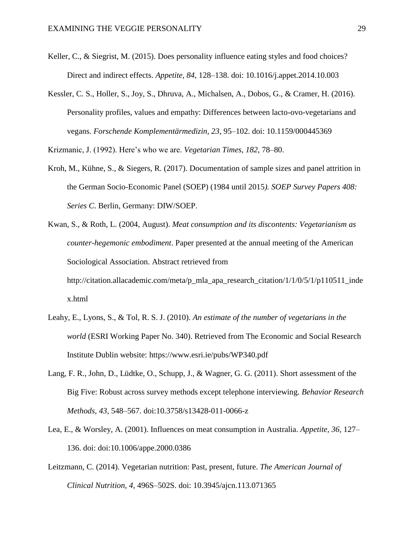- Keller, C., & Siegrist, M. (2015). Does personality influence eating styles and food choices? Direct and indirect effects. *Appetite, 84*, 128–138. doi: 10.1016/j.appet.2014.10.003
- Kessler, C. S., Holler, S., Joy, S., Dhruva, A., Michalsen, A., Dobos, G., & Cramer, H. (2016). Personality profiles, values and empathy: Differences between lacto-ovo-vegetarians and vegans. *Forschende Komplementärmedizin, 23*, 95–102. doi: 10.1159/000445369
- Krizmanic, J. (1992). Here's who we are. *Vegetarian Times, 182*, 78–80.
- Kroh, M., Kühne, S., & Siegers, R. (2017). Documentation of sample sizes and panel attrition in the German Socio-Economic Panel (SOEP) (1984 until 2015*). SOEP Survey Papers 408: Series C*. Berlin, Germany: DIW/SOEP.
- Kwan, S., & Roth, L. (2004, August). *Meat consumption and its discontents: Vegetarianism as counter-hegemonic embodiment*. Paper presented at the annual meeting of the American Sociological Association. Abstract retrieved from http://citation.allacademic.com/meta/p\_mla\_apa\_research\_citation/1/1/0/5/1/p110511\_inde x.html
- Leahy, E., Lyons, S., & Tol, R. S. J. (2010). *An estimate of the number of vegetarians in the world* (ESRI Working Paper No. 340). Retrieved from The Economic and Social Research Institute Dublin website: https://www.esri.ie/pubs/WP340.pdf
- Lang, F. R., John, D., Lüdtke, O., Schupp, J., & Wagner, G. G. (2011). Short assessment of the Big Five: Robust across survey methods except telephone interviewing. *Behavior Research Methods, 43*, 548–567. doi:10.3758/s13428-011-0066-z
- Lea, E., & Worsley, A. (2001). Influences on meat consumption in Australia. *Appetite, 36*, 127– 136. doi: doi:10.1006/appe.2000.0386
- Leitzmann, C. (2014). Vegetarian nutrition: Past, present, future. *The American Journal of Clinical Nutrition, 4,* 496S–502S. doi: 10.3945/ajcn.113.071365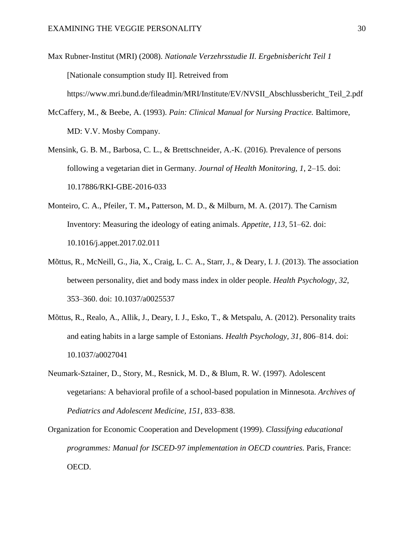- Max Rubner-Institut (MRI) (2008). *Nationale Verzehrsstudie II. Ergebnisbericht Teil 1* [Nationale consumption study II]. Retreived from https://www.mri.bund.de/fileadmin/MRI/Institute/EV/NVSII\_Abschlussbericht\_Teil\_2.pdf
- McCaffery, M., & Beebe, A. (1993). *Pain: Clinical Manual for Nursing Practice.* Baltimore, MD: V.V. Mosby Company.
- Mensink, G. B. M., Barbosa, C. L., & Brettschneider, A.-K. (2016). Prevalence of persons following a vegetarian diet in Germany. *Journal of Health Monitoring, 1*, 2–15. doi: 10.17886/RKI-GBE-2016-033
- Monteiro, C. A., Pfeiler, T. M.**,** Patterson, M. D., & Milburn, M. A. (2017). The Carnism Inventory: Measuring the ideology of eating animals. *Appetite, 113,* 51–62. doi: [10.1016/j.appet.2017.02.011](http://dx.doi.org/10.1016/j.appet.2017.02.011)
- Mõttus, R., McNeill, G., Jia, X., Craig, L. C. A., Starr, J., & Deary, I. J. (2013). The association between personality, diet and body mass index in older people. *Health Psychology, 32*, 353–360. doi: 10.1037/a0025537
- Mõttus, R., Realo, A., Allik, J., Deary, I. J., Esko, T., & Metspalu, A. (2012). Personality traits and eating habits in a large sample of Estonians. *Health Psychology, 31*, 806–814. doi: 10.1037/a0027041
- Neumark-Sztainer, D., Story, M., Resnick, M. D., & Blum, R. W. (1997). Adolescent vegetarians: A behavioral profile of a school-based population in Minnesota. *Archives of Pediatrics and Adolescent Medicine, 151,* 833–838.
- Organization for Economic Cooperation and Development (1999). *Classifying educational programmes: Manual for ISCED-97 implementation in OECD countries.* Paris, France: OECD.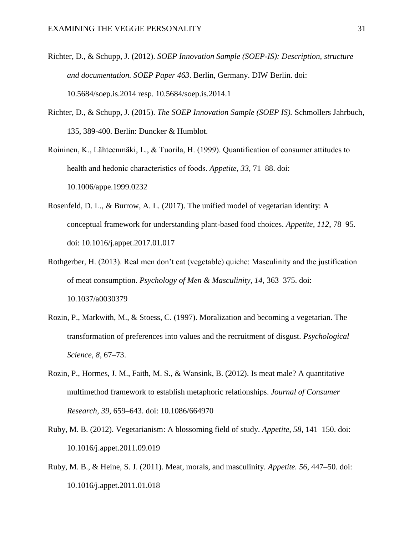- Richter, D., & Schupp, J. (2012). *SOEP Innovation Sample (SOEP-IS): Description, structure and documentation. SOEP Paper 463*. Berlin, Germany. DIW Berlin. doi: [10.5684/soep.is.2014](http://www.diw.de/en/diw_01.c.530041.en/soep_is_2014.html) resp. [10.5684/soep.is.2014.1](http://www.diw.de/en/diw_01.c.540558.en/soep_is_2014_1.html)
- Richter, D., & Schupp, J. (2015). *The SOEP Innovation Sample (SOEP IS).* Schmollers Jahrbuch, 135, 389-400. Berlin: Duncker & Humblot.
- Roininen, K., Lähteenmäki, L., & Tuorila, H. (1999). Quantification of consumer attitudes to health and hedonic characteristics of foods. *Appetite, 33*, 71–88. doi: [10.1006/appe.1999.0232](https://doi.org/10.1006/appe.1999.0232)
- Rosenfeld, D. L., & Burrow, A. L. (2017). The unified model of vegetarian identity: A conceptual framework for understanding plant-based food choices. *Appetite, 112*, 78–95. doi: [10.1016/j.appet.2017.01.017](http://dx.doi.org/10.1016/j.appet.2017.01.017)
- Rothgerber, H. (2013). Real men don't eat (vegetable) quiche: Masculinity and the justification of meat consumption. *Psychology of Men & Masculinity, 14*, 363–375. doi: [10.1037/a0030379](http://psycnet.apa.org/doi/10.1037/a0030379)
- Rozin, P., Markwith, M., & Stoess, C. (1997). Moralization and becoming a vegetarian. The transformation of preferences into values and the recruitment of disgust. *Psychological Science, 8*, 67–73.
- Rozin, P., Hormes, J. M., Faith, M. S., & Wansink, B. (2012). Is meat male? A quantitative multimethod framework to establish metaphoric relationships. *Journal of Consumer Research, 39,* 659–643. doi: 10.1086/664970
- Ruby, M. B. (2012). Vegetarianism: A blossoming field of study. *Appetite, 58*, 141–150. doi: [10.1016/j.appet.2011.09.019](http://dx.doi.org/10.1016/j.appet.2011.09.019)
- Ruby, M. B., & Heine, S. J. (2011). Meat, morals, and masculinity. *[Appetite.](https://www.ncbi.nlm.nih.gov/pubmed/21256169) 56*, 447–50. doi: 10.1016/j.appet.2011.01.018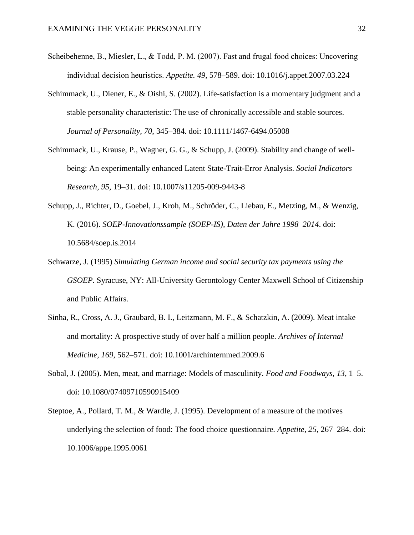- Scheibehenne, B., Miesler, L., & Todd, P. M. (2007). Fast and frugal food choices: Uncovering individual decision heuristics. *[Appetite.](https://www.ncbi.nlm.nih.gov/pubmed/21256169) 49*, 578–589. doi: [10.1016/j.appet.2007.03.224](https://doi.org/10.1016/j.appet.2007.03.224)
- Schimmack, U., Diener, E., & Oishi, S. (2002). Life-satisfaction is a momentary judgment and a stable personality characteristic: The use of chronically accessible and stable sources. *Journal of Personality, 70*, 345–384. doi: 10.1111/1467-6494.05008
- Schimmack, U., Krause, P., Wagner, G. G., & Schupp, J. (2009). Stability and change of wellbeing: An experimentally enhanced Latent State-Trait-Error Analysis. *Social Indicators Research, 95,* 19–31. doi: 10.1007/s11205-009-9443-8
- Schupp, J., Richter, D., Goebel, J., Kroh, M., Schröder, C., Liebau, E., Metzing, M., & Wenzig, K. (2016). *SOEP-Innovationssample (SOEP-IS), Daten der Jahre 1998–2014*. doi: 10.5684/soep.is.2014
- Schwarze, J. (1995) *Simulating German income and social security tax payments using the GSOEP.* Syracuse, NY: All-University Gerontology Center Maxwell School of Citizenship and Public Affairs.
- Sinha, R., Cross, A. J., Graubard, B. I., Leitzmann, M. F., & Schatzkin, A. (2009). Meat intake and mortality: A prospective study of over half a million people. *Archives of Internal Medicine, 169*, 562–571. doi: [10.1001/archinternmed.2009.6](https://doi.org/10.1001/archinternmed.2009.6)
- Sobal, J. (2005). Men, meat, and marriage: Models of masculinity. *Food and Foodways, 13*, 1–5. doi: [10.1080/07409710590915409](http://dx.doi.org/10.1080/07409710590915409)
- Steptoe, A., Pollard, T. M., & Wardle, J. (1995). Development of a measure of the motives underlying the selection of food: The food choice questionnaire*. Appetite, 25*, 267–284. doi: [10.1006/appe.1995.0061](https://doi.org/10.1006/appe.1995.0061)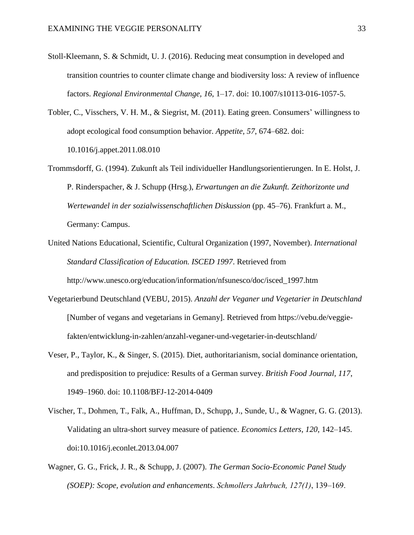- Stoll-Kleemann, S. & Schmidt, U. J. (2016). Reducing meat consumption in developed and transition countries to counter climate change and biodiversity loss: A review of influence factors. *Regional Environmental Change, 16*, 1–17. doi: 10.1007/s10113-016-1057-5.
- Tobler, C., Visschers, V. H. M., & Siegrist, M. (2011). Eating green. Consumers' willingness to adopt ecological food consumption behavior. *Appetite, 57*, 674–682. doi: 10.1016/j.appet.2011.08.010
- Trommsdorff, G. (1994). Zukunft als Teil individueller Handlungsorientierungen. In E. Holst, J. P. Rinderspacher, & J. Schupp (Hrsg.), *Erwartungen an die Zukunft. Zeithorizonte und Wertewandel in der sozialwissenschaftlichen Diskussion* (pp. 45–76). Frankfurt a. M., Germany: Campus.
- United Nations Educational, Scientific, Cultural Organization (1997, November). *International Standard Classification of Education. ISCED 1997*. Retrieved from [http://www.unesco.org/education/information/nfsunesco/doc/isced\\_1997.htm](http://www.unesco.org/education/information/nfsunesco/doc/isced_1997.htm)
- Vegetarierbund Deutschland (VEBU, 2015). *Anzahl der Veganer und Vegetarier in Deutschland* [Number of vegans and vegetarians in Gemany]. Retrieved from https://vebu.de/veggiefakten/entwicklung-in-zahlen/anzahl-veganer-und-vegetarier-in-deutschland/
- Veser, P., Taylor, K., & Singer, S. (2015). Diet, authoritarianism, social dominance orientation, and predisposition to prejudice: Results of a German survey. *British Food Journal, 117*, 1949–1960. doi: 10.1108/BFJ-12-2014-0409
- Vischer, T., Dohmen, T., Falk, A., Huffman, D., Schupp, J., Sunde, U., & Wagner, G. G. (2013). Validating an ultra-short survey measure of patience. *Economics Letters, 120,* 142–145. doi:10.1016/j.econlet.2013.04.007
- Wagner, G. G., Frick, J. R., & Schupp, J. (2007). *The German Socio-Economic Panel Study (SOEP): Scope, evolution and enhancements*. *Schmollers Jahrbuch, 127(1)*, 139–169.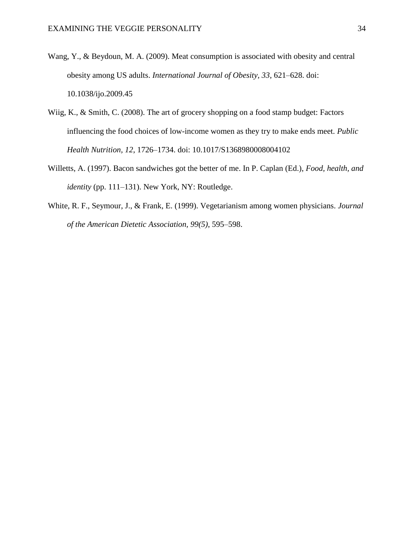- Wang, Y., & Beydoun, M. A. (2009). Meat consumption is associated with obesity and central obesity among US adults. *International Journal of Obesity, 33*, 621–628. doi: 10.1038/ijo.2009.45
- Wiig, K., & Smith, C. (2008). The art of grocery shopping on a food stamp budget: Factors influencing the food choices of low-income women as they try to make ends meet. *Public Health Nutrition, 12*, 1726–1734. doi: 10.1017/S1368980008004102
- Willetts, A. (1997). Bacon sandwiches got the better of me. In P. Caplan (Ed.), *Food, health, and identity* (pp. 111–131). New York, NY: Routledge.
- White, R. F., Seymour, J., & Frank, E. (1999). Vegetarianism among women physicians. *Journal of the American Dietetic Association, 99(5)*, 595–598.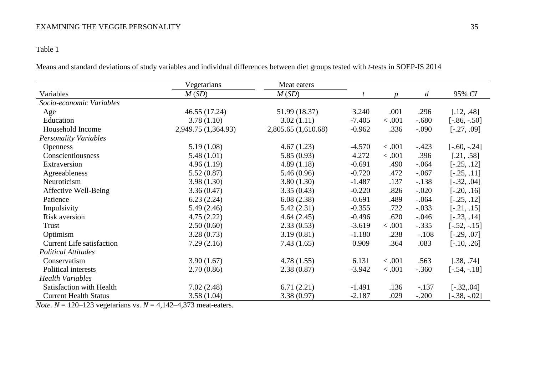# Table 1

Means and standard deviations of study variables and individual differences between diet groups tested with *t*-tests in SOEP-IS 2014

|                                  | Vegetarians         | Meat eaters         |          |         |                  |                 |
|----------------------------------|---------------------|---------------------|----------|---------|------------------|-----------------|
| Variables                        | M(SD)               | M(SD)               |          | n       | $\boldsymbol{d}$ | 95% CI          |
| Socio-economic Variables         |                     |                     |          |         |                  |                 |
| Age                              | 46.55 (17.24)       | 51.99 (18.37)       | 3.240    | .001    | .296             | [.12, .48]      |
| Education                        | 3.78(1.10)          | 3.02(1.11)          | $-7.405$ | < .001  | $-.680$          | $[-.86, -.50]$  |
| Household Income                 | 2,949.75 (1,364.93) | 2,805.65 (1,610.68) | $-0.962$ | .336    | $-.090$          | $[-.27, .09]$   |
| <b>Personality Variables</b>     |                     |                     |          |         |                  |                 |
| <b>Openness</b>                  | 5.19(1.08)          | 4.67(1.23)          | $-4.570$ | < 0.001 | $-.423$          | $[-.60, -0.24]$ |
| Conscientiousness                | 5.48(1.01)          | 5.85(0.93)          | 4.272    | < .001  | .396             | [.21, .58]      |
| Extraversion                     | 4.96(1.19)          | 4.89(1.18)          | $-0.691$ | .490    | $-.064$          | $[-.25, .12]$   |
| Agreeableness                    | 5.52(0.87)          | 5.46(0.96)          | $-0.720$ | .472    | $-.067$          | $[-.25, .11]$   |
| Neuroticism                      | 3.98(1.30)          | 3.80(1.30)          | $-1.487$ | .137    | $-.138$          | $[-.32, .04]$   |
| Affective Well-Being             | 3.36(0.47)          | 3.35(0.43)          | $-0.220$ | .826    | $-.020$          | $[-.20, .16]$   |
| Patience                         | 6.23(2.24)          | 6.08(2.38)          | $-0.691$ | .489    | $-.064$          | $[-.25, .12]$   |
| Impulsivity                      | 5.49(2.46)          | 5.42(2.31)          | $-0.355$ | .722    | $-.033$          | $[-.21, .15]$   |
| Risk aversion                    | 4.75(2.22)          | 4.64(2.45)          | $-0.496$ | .620    | $-.046$          | $[-.23, .14]$   |
| Trust                            | 2.50(0.60)          | 2.33(0.53)          | $-3.619$ | < .001  | $-.335$          | $[-.52, -.15]$  |
| Optimism                         | 3.28(0.73)          | 3.19(0.81)          | $-1.180$ | .238    | $-.108$          | $[-.29, .07]$   |
| <b>Current Life satisfaction</b> | 7.29(2.16)          | 7.43(1.65)          | 0.909    | .364    | .083             | $[-.10, .26]$   |
| <b>Political Attitudes</b>       |                     |                     |          |         |                  |                 |
| Conservatism                     | 3.90(1.67)          | 4.78(1.55)          | 6.131    | < .001  | .563             | [.38, .74]      |
| Political interests              | 2.70(0.86)          | 2.38(0.87)          | $-3.942$ | < .001  | $-.360$          | $[-.54, -.18]$  |
| <b>Health Variables</b>          |                     |                     |          |         |                  |                 |
| Satisfaction with Health         | 7.02(2.48)          | 6.71(2.21)          | $-1.491$ | .136    | $-.137$          | $[-.32, .04]$   |
| <b>Current Health Status</b>     | 3.58(1.04)          | 3.38(0.97)          | $-2.187$ | .029    | $-.200$          | $[-.38, -.02]$  |

*Note.*  $N = 120-123$  vegetarians vs.  $N = 4,142-4,373$  meat-eaters.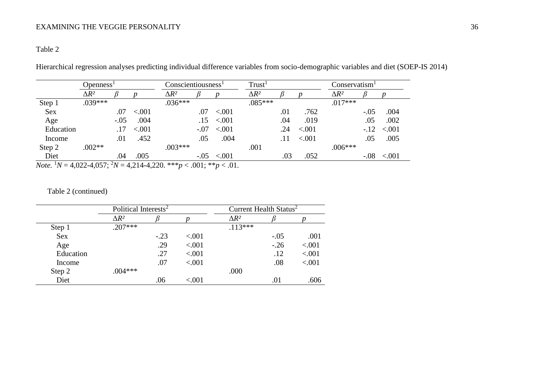# Table 2

Hierarchical regression analyses predicting individual difference variables from socio-demographic variables and diet (SOEP-IS 2014)

|           | Openness <sup>1</sup> |               |         | Conscientiousness <sup>1</sup> |        |         | Trust <sup>1</sup> |     |         | Conservatism <sup>1</sup> |        |         |
|-----------|-----------------------|---------------|---------|--------------------------------|--------|---------|--------------------|-----|---------|---------------------------|--------|---------|
|           | $\Delta R^2$          |               |         | $\Delta R^2$                   |        |         | $\Delta R^2$       |     |         | $\Delta R^2$              |        |         |
| Step 1    | $.039***$             |               |         | $.036***$                      |        |         | $.085***$          |     |         | $.017***$                 |        |         |
| Sex       |                       | .07           | < .001  |                                | .07    | < 0.001 |                    | .01 | .762    |                           | $-.05$ | .004    |
| Age       |                       | $-.05$        | .004    |                                | .15    | < 0.001 |                    | .04 | .019    |                           | .05    | .002    |
| Education |                       | .17           | < 0.001 |                                | $-.07$ | < 0.001 |                    | .24 | < .001  |                           | $-12$  | < 0.001 |
| Income    |                       | .01           | .452    |                                | .05    | .004    |                    | .11 | < 0.001 |                           | .05    | .005    |
| Step 2    | $.002**$              |               |         | $.003***$                      |        |         | .001               |     |         | $.006***$                 |        |         |
| Diet      |                       | .04<br>$\sim$ | .005    |                                | $-.05$ | < .001  |                    | .03 | .052    |                           | $-.08$ | < .001  |

*Note.* <sup>1</sup>*N* = 4,022-4,057; <sup>2</sup>*N* = 4,214-4,220. \*\*\**p* < .001; \*\**p* < .01.

# Table 2 (continued)

|            | Political Interests <sup>2</sup> |        |         | Current Health Status <sup>2</sup> |        |        |
|------------|----------------------------------|--------|---------|------------------------------------|--------|--------|
|            | $\Delta R^2$                     |        |         | $\Delta R^2$                       |        |        |
| Step 1     | $.207***$                        |        |         | $.113***$                          |        |        |
| <b>Sex</b> |                                  | $-.23$ | < .001  |                                    | $-.05$ | .001   |
| Age        |                                  | .29    | < 0.001 |                                    | $-.26$ | < .001 |
| Education  |                                  | .27    | < 0.001 |                                    | .12    | < .001 |
| Income     |                                  | .07    | < .001  |                                    | .08    | < .001 |
| Step 2     | $.004***$                        |        |         | .000                               |        |        |
| Diet       |                                  | .06    | < .001  |                                    | .01    | .606   |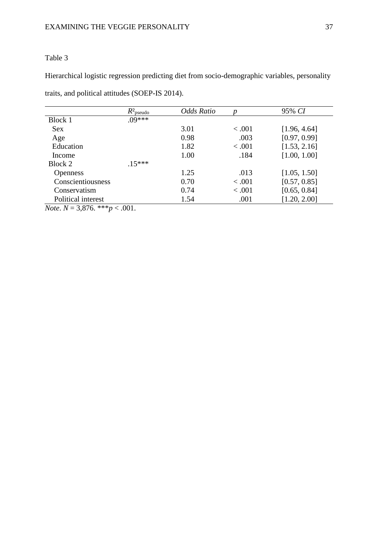# Table 3

Hierarchical logistic regression predicting diet from socio-demographic variables, personality

traits, and political attitudes (SOEP-IS 2014).

|                                                                               | $R^2$ <sub>pseudo</sub> | Odds Ratio |         | 95% CI       |
|-------------------------------------------------------------------------------|-------------------------|------------|---------|--------------|
| Block 1                                                                       | $.09***$                |            |         |              |
| <b>Sex</b>                                                                    |                         | 3.01       | < 0.001 | [1.96, 4.64] |
| Age                                                                           |                         | 0.98       | .003    | [0.97, 0.99] |
| Education                                                                     |                         | 1.82       | < .001  | [1.53, 2.16] |
| Income                                                                        |                         | 1.00       | .184    | [1.00, 1.00] |
| Block 2                                                                       | $.15***$                |            |         |              |
| <b>Openness</b>                                                               |                         | 1.25       | .013    | [1.05, 1.50] |
| Conscientiousness                                                             |                         | 0.70       | < 0.001 | [0.57, 0.85] |
| Conservatism                                                                  |                         | 0.74       | < .001  | [0.65, 0.84] |
| Political interest                                                            |                         | 1.54       | .001    | [1.20, 2.00] |
| $\mathbf{M}$ $\mathbf{M}$ $\mathbf{M}$ $\mathbf{M}$ $\mathbf{M}$ $\mathbf{M}$ | $\sim$ 001              |            |         |              |

*Note*. *N* = 3,876. \*\*\**p* < .001.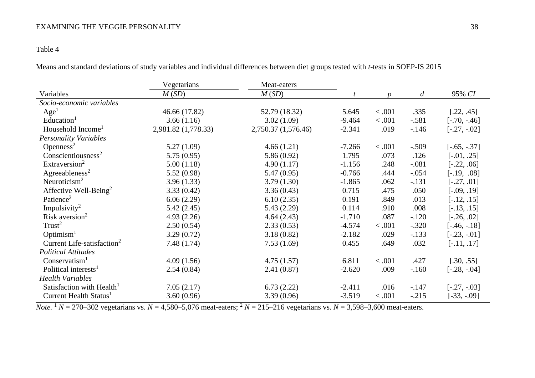# Table 4

Means and standard deviations of study variables and individual differences between diet groups tested with *t*-tests in SOEP-IS 2015

|                                        | Vegetarians         | Meat-eaters         |          |        |                  |                |
|----------------------------------------|---------------------|---------------------|----------|--------|------------------|----------------|
| Variables                              | M(SD)               | M(SD)               |          | n      | $\boldsymbol{d}$ | 95% CI         |
| Socio-economic variables               |                     |                     |          |        |                  |                |
| Age <sup>1</sup>                       | 46.66 (17.82)       | 52.79 (18.32)       | 5.645    | < .001 | .335             | [.22, .45]     |
| Education <sup>1</sup>                 | 3.66(1.16)          | 3.02(1.09)          | $-9.464$ | 0.001  | $-.581$          | $[-.70, -.46]$ |
| Household Income <sup>1</sup>          | 2,981.82 (1,778.33) | 2,750.37 (1,576.46) | $-2.341$ | .019   | $-146$           | $[-.27, -.02]$ |
| <b>Personality Variables</b>           |                     |                     |          |        |                  |                |
| Openness <sup>2</sup>                  | 5.27(1.09)          | 4.66(1.21)          | $-7.266$ | < .001 | $-.509$          | $[-.65, -.37]$ |
| Conscientiousness <sup>2</sup>         | 5.75(0.95)          | 5.86(0.92)          | 1.795    | .073   | .126             | $[-.01, .25]$  |
| Extraversion <sup>2</sup>              | 5.00(1.18)          | 4.90(1.17)          | $-1.156$ | .248   | $-.081$          | $[-.22, .06]$  |
| Agreeableness <sup>2</sup>             | 5.52(0.98)          | 5.47(0.95)          | $-0.766$ | .444   | $-.054$          | $[-.19, .08]$  |
| Neuroticism <sup>2</sup>               | 3.96(1.33)          | 3.79(1.30)          | $-1.865$ | .062   | $-.131$          | $[-.27, .01]$  |
| Affective Well-Being <sup>2</sup>      | 3.33(0.42)          | 3.36(0.43)          | 0.715    | .475   | .050             | $[-.09, .19]$  |
| Patience <sup>2</sup>                  | 6.06(2.29)          | 6.10(2.35)          | 0.191    | .849   | .013             | $[-.12, .15]$  |
| Impulsivity <sup>2</sup>               | 5.42(2.45)          | 5.43(2.29)          | 0.114    | .910   | .008             | $[-.13, .15]$  |
| Risk aversion <sup>2</sup>             | 4.93(2.26)          | 4.64(2.43)          | $-1.710$ | .087   | $-.120$          | $[-.26, .02]$  |
| Trust <sup>2</sup>                     | 2.50(0.54)          | 2.33(0.53)          | $-4.574$ | < .001 | $-.320$          | $[-.46, -.18]$ |
| Optimism <sup>1</sup>                  | 3.29(0.72)          | 3.18(0.82)          | $-2.182$ | .029   | $-.133$          | $[-.23, -.01]$ |
| Current Life-satisfaction <sup>2</sup> | 7.48(1.74)          | 7.53(1.69)          | 0.455    | .649   | .032             | $[-.11, .17]$  |
| <b>Political Attitudes</b>             |                     |                     |          |        |                  |                |
| Conservation <sup>1</sup>              | 4.09(1.56)          | 4.75(1.57)          | 6.811    | < .001 | .427             | [.30, .55]     |
| Political interests <sup>1</sup>       | 2.54(0.84)          | 2.41(0.87)          | $-2.620$ | .009   | $-160$           | $[-.28, -.04]$ |
| <b>Health Variables</b>                |                     |                     |          |        |                  |                |
| Satisfaction with Health <sup>1</sup>  | 7.05(2.17)          | 6.73(2.22)          | $-2.411$ | .016   | $-147$           | $[-.27, -.03]$ |
| Current Health Status <sup>1</sup>     | 3.60(0.96)          | 3.39(0.96)          | $-3.519$ | < .001 | $-.215$          | $[-33, -09]$   |

*Note.* <sup>1</sup>  $N = 270-302$  vegetarians vs.  $N = 4,580-5,076$  meat-eaters; <sup>2</sup>  $N = 215-216$  vegetarians vs.  $N = 3,598-3,600$  meat-eaters.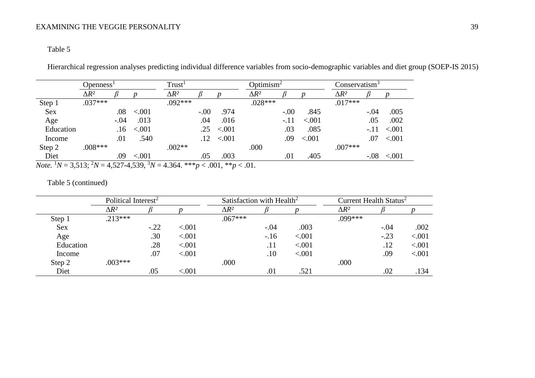# Table 5

Hierarchical regression analyses predicting individual difference variables from socio-demographic variables and diet group (SOEP-IS 2015)

|           | Openness <sup>1</sup> |        |         | Trust <sup>1</sup> |        |                    | Optimism <sup>2</sup> |        |         | Conservatism <sup>3</sup> |        |         |
|-----------|-----------------------|--------|---------|--------------------|--------|--------------------|-----------------------|--------|---------|---------------------------|--------|---------|
|           | $\Delta R^2$          |        |         | $\Delta R^2$       |        |                    | $\Delta R^2$          |        |         | $\Delta R^2$              |        |         |
| Step 1    | $.037***$             |        |         | $.092***$          |        |                    | $.028***$             |        |         | $.017***$                 |        |         |
| Sex       |                       | .08    | < .001  |                    | $-.00$ | .974               |                       | $-.00$ | .845    |                           | $-.04$ | .005    |
| Age       |                       | $-.04$ | .013    |                    | .04    | .016               |                       | $-.11$ | < 0.001 |                           | .05    | .002    |
| Education |                       | .16    | < 0.001 |                    | .25    | < .001             |                       | .03    | .085    |                           | $-.11$ | < 0.001 |
| Income    |                       | .01    | .540    |                    |        | $.12 \quad < .001$ |                       | .09    | < .001  |                           | .07    | < 0.001 |
| Step 2    | $.008***$             |        |         | $.002**$           |        |                    | .000                  |        |         | $.007***$                 |        |         |
| Diet      |                       | .09    | < .001  |                    | .05    | .003               |                       | .01    | .405    |                           | $-.08$ | < .001  |

*Note.* <sup>1</sup>*N* = 3,513; <sup>2</sup>*N* = 4,527-4,539, <sup>3</sup>*N* = 4.364. \*\*\**p* < .001, \*\**p* < .01.

# Table 5 (continued)

|            | Political Interest <sup>2</sup> |        |        | Satisfaction with Health <sup>2</sup> |         |        | Current Health Status <sup>2</sup> |        |        |
|------------|---------------------------------|--------|--------|---------------------------------------|---------|--------|------------------------------------|--------|--------|
|            | $\Delta R^2$                    |        |        | $\Delta R^2$                          |         |        | $\Delta R^2$                       |        |        |
| Step 1     | $.213***$                       |        |        | $.067***$                             |         |        | $.099***$                          |        |        |
| <b>Sex</b> |                                 | $-.22$ | < .001 |                                       | $-.04$  | .003   |                                    | $-.04$ | .002   |
| Age        |                                 | .30    | < .001 |                                       | $-.16$  | < .001 |                                    | $-.23$ | < .001 |
| Education  |                                 | .28    | < .001 |                                       | .11     | < .001 |                                    | .12    | < .001 |
| Income     |                                 | .07    | < .001 |                                       | $.10\,$ | < .001 |                                    | .09    | < .001 |
| Step 2     | $.003***$                       |        |        | .000                                  |         |        | .000                               |        |        |
| Diet       |                                 | .05    | < 001  |                                       | .01     | .521   |                                    | .02    | .134   |